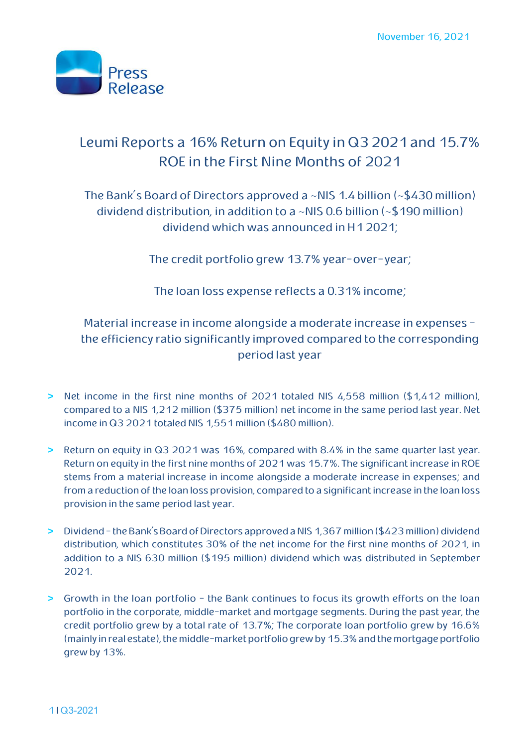

# **Leumi Reports a 16% Return on Equity in Q32021and 15.7% ROE in the First Nine Months of 2021**

**The Bank's Board of Directors approved a ~NIS 1.4 billion (~\$430 million) dividend distribution, in addition to a ~NIS 0.6 billion (~\$190 million) dividend which was announced in H1 2021;**

**The credit portfolio grew 13.7% year-over-year;**

**The loan loss expense reflects a 0.31% income;**

### **Material increase in income alongside a moderate increase in expenses the efficiency ratio significantly improved compared to the corresponding period last year**

- **> Net income in the first nine months of 2021 totaled NIS 4,558 million (\$1,412 million), compared to a NIS 1,212 million (\$375 million) net income in the same period last year. Net income in Q3 2021 totaled NIS 1,551 million (\$480 million).**
- **> Return on equity in Q3 2021 was 16%, compared with 8.4% in the same quarter last year. Return on equity in the first nine months of 2021 was 15.7%. The significant increase in ROE stems from a material increase in income alongside a moderate increase in expenses; and from a reduction of the loan loss provision, compared to a significant increase in the loan loss provision in the same period last year.**
- **> Dividend - the Bank's Board of Directors approved a NIS 1,367 million (\$423 million) dividend distribution, which constitutes 30% of the net income for the first nine months of 2021, in addition to a NIS 630 million (\$195 million) dividend which was distributed in September 2021.**
- **> Growth in the loan portfolio - the Bank continues to focus its growth efforts on the loan portfolio in the corporate, middle-market and mortgage segments. During the past year, the credit portfolio grew by a total rate of 13.7%; The corporate loan portfolio grew by 16.6%** (mainly in real estate), the middle-market portfolio grew by 15.3% and the mortgage portfolio **grew by 13%.**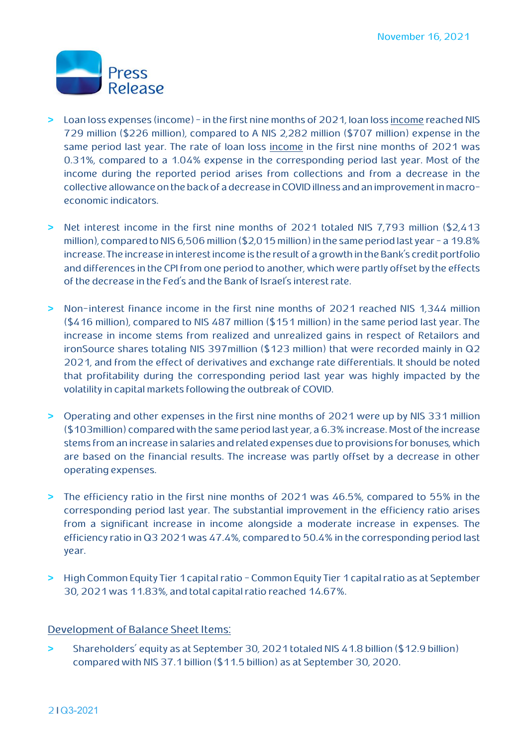

- **> Loan loss expenses (income) - in the first nine months of 2021, loan loss income reached NIS 729 million (\$226 million), compared to A NIS 2,282 million (\$707 million) expense in the same period last year. The rate of loan loss income in the first nine months of 2021 was 0.31%, compared to a 1.04% expense in the corresponding period last year. Most of the income during the reported period arises from collections and from a decrease in the**  collective allowance on the back of a decrease in COVID illness and an improvement in macro**economic indicators.**
- **> Net interest income in the first nine months of 2021 totaled NIS 7,793 million (\$2,413 million), compared to NIS 6,506 million (\$2,015 million) in the same period last year - a 19.8% increase. The increase in interest income is the result of a growth in the Bank's credit portfolio and differences in the CPI from one period to another, which were partly offset by the effects of the decrease in the Fed's and the Bank of Israel's interest rate.**
- **> Non-interest finance income in the first nine months of 2021 reached NIS 1,344 million (\$416 million), compared to NIS 487 million (\$151 million) in the same period last year. The increase in income stems from realized and unrealized gains in respect of Retailors and ironSource shares totaling NIS 397million (\$123 million) that were recorded mainly in Q2 2021, and from the effect of derivatives and exchange rate differentials. It should be noted that profitability during the corresponding period last year was highly impacted by the volatility in capital markets following the outbreak of COVID.**
- **> Operating and other expenses in the first nine months of 2021 were up by NIS 331 million (\$103million) compared with the same period last year, a 6.3% increase. Most of the increase stems from an increase in salaries and related expenses due to provisions for bonuses, which are based on the financial results. The increase was partly offset by a decrease in other operating expenses.**
- **> The efficiency ratio in the first nine months of 2021 was 46.5%, compared to 55% in the corresponding period last year. The substantial improvement in the efficiency ratio arises from a significant increase in income alongside a moderate increase in expenses. The efficiency ratio in Q3 2021 was 47.4%, compared to 50.4% in the corresponding period last year.**
- **> High Common Equity Tier 1 capital ratio - Common Equity Tier 1 capital ratio as at September 30, 2021 was 11.83%, and total capital ratio reached 14.67%.**

#### **Development of Balance Sheet Items:**

**> Shareholders' equity as at September 30, 2021 totaled NIS 41.8 billion (\$12.9 billion) compared with NIS 37.1 billion (\$11.5 billion) as at September 30, 2020** .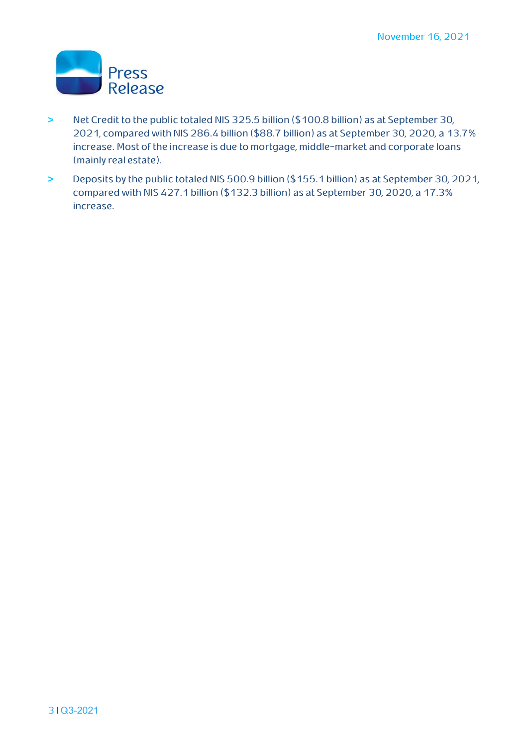

- **> Net Credit to the public totaled NIS 325.5 billion (\$100.8 billion) as at September 30, 2021, compared with NIS 286.4 billion (\$88.7 billion) as at September 30, 2020, a 13.7% increase**. **Most of the increase is due to mortgage, middle-market and corporate loans (mainly real estate).**
- **> Deposits by the public totaled NIS 500.9 billion (\$155.1 billion) as at September 30, 2021, compared with NIS 427.1 billion (\$132.3 billion) as at September 30, 2020, a 17.3% increase.**